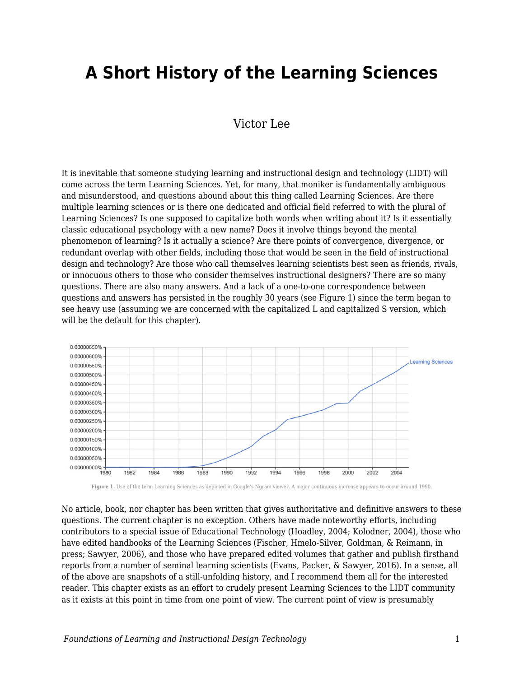# **A Short History of the Learning Sciences**

## Victor Lee

It is inevitable that someone studying learning and instructional design and technology (LIDT) will come across the term Learning Sciences. Yet, for many, that moniker is fundamentally ambiguous and misunderstood, and questions abound about this thing called Learning Sciences. Are there multiple learning sciences or is there one dedicated and official field referred to with the plural of Learning Sciences? Is one supposed to capitalize both words when writing about it? Is it essentially classic educational psychology with a new name? Does it involve things beyond the mental phenomenon of learning? Is it actually a science? Are there points of convergence, divergence, or redundant overlap with other fields, including those that would be seen in the field of instructional design and technology? Are those who call themselves learning scientists best seen as friends, rivals, or innocuous others to those who consider themselves instructional designers? There are so many questions. There are also many answers. And a lack of a one-to-one correspondence between questions and answers has persisted in the roughly 30 years (see Figure 1) since the term began to see heavy use (assuming we are concerned with the capitalized L and capitalized S version, which will be the default for this chapter).



**Figure 1.** Use of the term Learning Sciences as depicted in Google's Ngram viewer. A major continuous increase appears to occur around 1990.

No article, book, nor chapter has been written that gives authoritative and definitive answers to these questions. The current chapter is no exception. Others have made noteworthy efforts, including contributors to a special issue of Educational Technology (Hoadley, 2004; Kolodner, 2004), those who have edited handbooks of the Learning Sciences (Fischer, Hmelo-Silver, Goldman, & Reimann, in press; Sawyer, 2006), and those who have prepared edited volumes that gather and publish firsthand reports from a number of seminal learning scientists (Evans, Packer, & Sawyer, 2016). In a sense, all of the above are snapshots of a still-unfolding history, and I recommend them all for the interested reader. This chapter exists as an effort to crudely present Learning Sciences to the LIDT community as it exists at this point in time from one point of view. The current point of view is presumably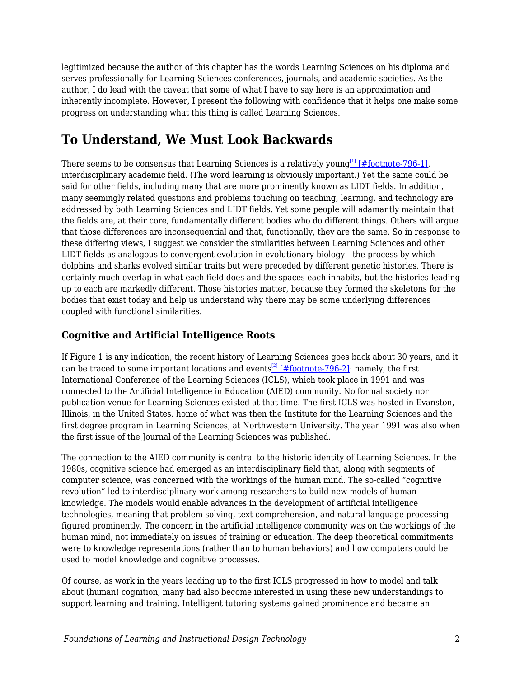legitimized because the author of this chapter has the words Learning Sciences on his diploma and serves professionally for Learning Sciences conferences, journals, and academic societies. As the author, I do lead with the caveat that some of what I have to say here is an approximation and inherently incomplete. However, I present the following with confidence that it helps one make some progress on understanding what this thing is called Learning Sciences.

## **To Understand, We Must Look Backwards**

There seems to be consensus that Learning Sciences is a relatively young<sup>[\[1\]](#page--1-0)</sup> [\[#footnote-796-1\]](#page--1-0), interdisciplinary academic field. (The word learning is obviously important.) Yet the same could be said for other fields, including many that are more prominently known as LIDT fields. In addition, many seemingly related questions and problems touching on teaching, learning, and technology are addressed by both Learning Sciences and LIDT fields. Yet some people will adamantly maintain that the fields are, at their core, fundamentally different bodies who do different things. Others will argue that those differences are inconsequential and that, functionally, they are the same. So in response to these differing views, I suggest we consider the similarities between Learning Sciences and other LIDT fields as analogous to convergent evolution in evolutionary biology—the process by which dolphins and sharks evolved similar traits but were preceded by different genetic histories. There is certainly much overlap in what each field does and the spaces each inhabits, but the histories leading up to each are markedly different. Those histories matter, because they formed the skeletons for the bodies that exist today and help us understand why there may be some underlying differences coupled with functional similarities.

## **Cognitive and Artificial Intelligence Roots**

If Figure 1 is any indication, the recent history of Learning Sciences goes back about 30 years, and it can be traced to some important locations and events<sup>[\[2\]](#page--1-0)</sup> [\[#footnote-796-2\]:](#page--1-0) namely, the first International Conference of the Learning Sciences (ICLS), which took place in 1991 and was connected to the Artificial Intelligence in Education (AIED) community. No formal society nor publication venue for Learning Sciences existed at that time. The first ICLS was hosted in Evanston, Illinois, in the United States, home of what was then the Institute for the Learning Sciences and the first degree program in Learning Sciences, at Northwestern University. The year 1991 was also when the first issue of the Journal of the Learning Sciences was published.

The connection to the AIED community is central to the historic identity of Learning Sciences. In the 1980s, cognitive science had emerged as an interdisciplinary field that, along with segments of computer science, was concerned with the workings of the human mind. The so-called "cognitive revolution" led to interdisciplinary work among researchers to build new models of human knowledge. The models would enable advances in the development of artificial intelligence technologies, meaning that problem solving, text comprehension, and natural language processing figured prominently. The concern in the artificial intelligence community was on the workings of the human mind, not immediately on issues of training or education. The deep theoretical commitments were to knowledge representations (rather than to human behaviors) and how computers could be used to model knowledge and cognitive processes.

Of course, as work in the years leading up to the first ICLS progressed in how to model and talk about (human) cognition, many had also become interested in using these new understandings to support learning and training. Intelligent tutoring systems gained prominence and became an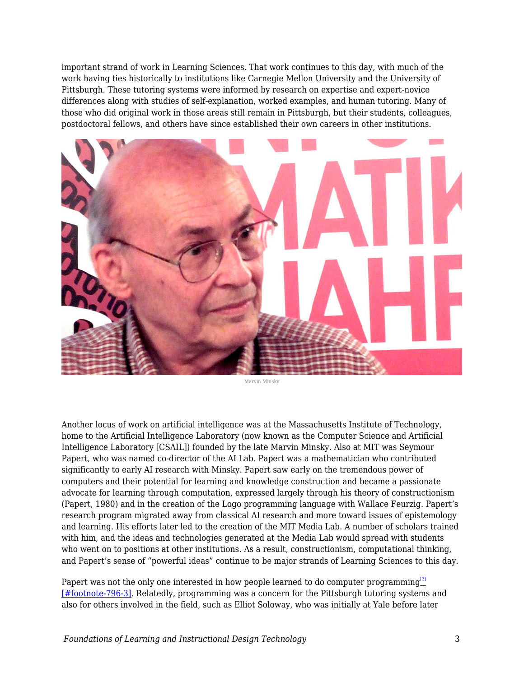important strand of work in Learning Sciences. That work continues to this day, with much of the work having ties historically to institutions like Carnegie Mellon University and the University of Pittsburgh. These tutoring systems were informed by research on expertise and expert-novice differences along with studies of self-explanation, worked examples, and human tutoring. Many of those who did original work in those areas still remain in Pittsburgh, but their students, colleagues, postdoctoral fellows, and others have since established their own careers in other institutions.



Marvin Minsky

Another locus of work on artificial intelligence was at the Massachusetts Institute of Technology, home to the Artificial Intelligence Laboratory (now known as the Computer Science and Artificial Intelligence Laboratory [CSAIL]) founded by the late Marvin Minsky. Also at MIT was Seymour Papert, who was named co-director of the AI Lab. Papert was a mathematician who contributed significantly to early AI research with Minsky. Papert saw early on the tremendous power of computers and their potential for learning and knowledge construction and became a passionate advocate for learning through computation, expressed largely through his theory of constructionism (Papert, 1980) and in the creation of the Logo programming language with Wallace Feurzig. Papert's research program migrated away from classical AI research and more toward issues of epistemology and learning. His efforts later led to the creation of the MIT Media Lab. A number of scholars trained with him, and the ideas and technologies generated at the Media Lab would spread with students who went on to positions at other institutions. As a result, constructionism, computational thinking, and Papert's sense of "powerful ideas" continue to be major strands of Learning Sciences to this day.

Papert was not the only one interested in how people learned to do computer programming<sup>[\[3\]](#page--1-0)</sup> [\[#footnote-796-3\]](#page--1-0). Relatedly, programming was a concern for the Pittsburgh tutoring systems and also for others involved in the field, such as Elliot Soloway, who was initially at Yale before later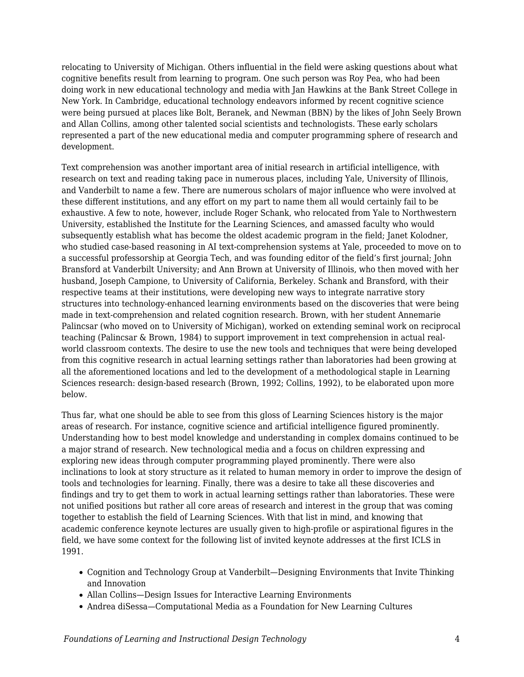relocating to University of Michigan. Others influential in the field were asking questions about what cognitive benefits result from learning to program. One such person was Roy Pea, who had been doing work in new educational technology and media with Jan Hawkins at the Bank Street College in New York. In Cambridge, educational technology endeavors informed by recent cognitive science were being pursued at places like Bolt, Beranek, and Newman (BBN) by the likes of John Seely Brown and Allan Collins, among other talented social scientists and technologists. These early scholars represented a part of the new educational media and computer programming sphere of research and development.

Text comprehension was another important area of initial research in artificial intelligence, with research on text and reading taking pace in numerous places, including Yale, University of Illinois, and Vanderbilt to name a few. There are numerous scholars of major influence who were involved at these different institutions, and any effort on my part to name them all would certainly fail to be exhaustive. A few to note, however, include Roger Schank, who relocated from Yale to Northwestern University, established the Institute for the Learning Sciences, and amassed faculty who would subsequently establish what has become the oldest academic program in the field; Janet Kolodner, who studied case-based reasoning in AI text-comprehension systems at Yale, proceeded to move on to a successful professorship at Georgia Tech, and was founding editor of the field's first journal; John Bransford at Vanderbilt University; and Ann Brown at University of Illinois, who then moved with her husband, Joseph Campione, to University of California, Berkeley. Schank and Bransford, with their respective teams at their institutions, were developing new ways to integrate narrative story structures into technology-enhanced learning environments based on the discoveries that were being made in text-comprehension and related cognition research. Brown, with her student Annemarie Palincsar (who moved on to University of Michigan), worked on extending seminal work on reciprocal teaching (Palincsar & Brown, 1984) to support improvement in text comprehension in actual realworld classroom contexts. The desire to use the new tools and techniques that were being developed from this cognitive research in actual learning settings rather than laboratories had been growing at all the aforementioned locations and led to the development of a methodological staple in Learning Sciences research: design-based research (Brown, 1992; Collins, 1992), to be elaborated upon more below.

Thus far, what one should be able to see from this gloss of Learning Sciences history is the major areas of research. For instance, cognitive science and artificial intelligence figured prominently. Understanding how to best model knowledge and understanding in complex domains continued to be a major strand of research. New technological media and a focus on children expressing and exploring new ideas through computer programming played prominently. There were also inclinations to look at story structure as it related to human memory in order to improve the design of tools and technologies for learning. Finally, there was a desire to take all these discoveries and findings and try to get them to work in actual learning settings rather than laboratories. These were not unified positions but rather all core areas of research and interest in the group that was coming together to establish the field of Learning Sciences. With that list in mind, and knowing that academic conference keynote lectures are usually given to high-profile or aspirational figures in the field, we have some context for the following list of invited keynote addresses at the first ICLS in 1991.

- Cognition and Technology Group at Vanderbilt—Designing Environments that Invite Thinking and Innovation
- Allan Collins—Design Issues for Interactive Learning Environments
- Andrea diSessa—Computational Media as a Foundation for New Learning Cultures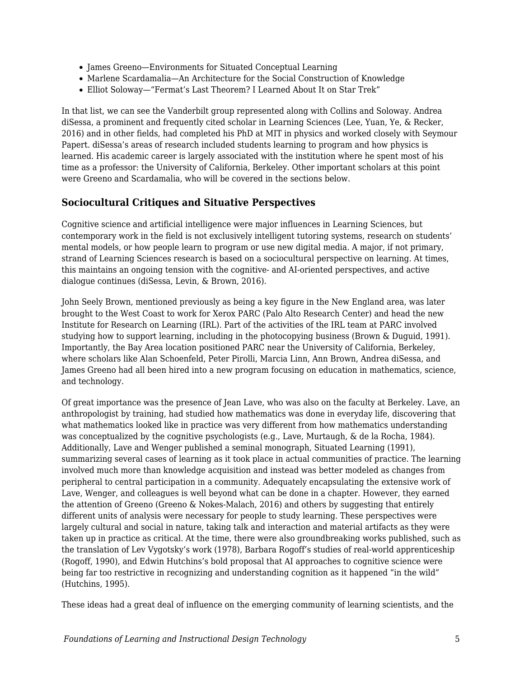- James Greeno—Environments for Situated Conceptual Learning
- Marlene Scardamalia—An Architecture for the Social Construction of Knowledge
- Elliot Soloway—"Fermat's Last Theorem? I Learned About It on Star Trek"

In that list, we can see the Vanderbilt group represented along with Collins and Soloway. Andrea diSessa, a prominent and frequently cited scholar in Learning Sciences (Lee, Yuan, Ye, & Recker, 2016) and in other fields, had completed his PhD at MIT in physics and worked closely with Seymour Papert. diSessa's areas of research included students learning to program and how physics is learned. His academic career is largely associated with the institution where he spent most of his time as a professor: the University of California, Berkeley. Other important scholars at this point were Greeno and Scardamalia, who will be covered in the sections below.

## **Sociocultural Critiques and Situative Perspectives**

Cognitive science and artificial intelligence were major influences in Learning Sciences, but contemporary work in the field is not exclusively intelligent tutoring systems, research on students' mental models, or how people learn to program or use new digital media. A major, if not primary, strand of Learning Sciences research is based on a sociocultural perspective on learning. At times, this maintains an ongoing tension with the cognitive- and AI-oriented perspectives, and active dialogue continues (diSessa, Levin, & Brown, 2016).

John Seely Brown, mentioned previously as being a key figure in the New England area, was later brought to the West Coast to work for Xerox PARC (Palo Alto Research Center) and head the new Institute for Research on Learning (IRL). Part of the activities of the IRL team at PARC involved studying how to support learning, including in the photocopying business (Brown & Duguid, 1991). Importantly, the Bay Area location positioned PARC near the University of California, Berkeley, where scholars like Alan Schoenfeld, Peter Pirolli, Marcia Linn, Ann Brown, Andrea diSessa, and James Greeno had all been hired into a new program focusing on education in mathematics, science, and technology.

Of great importance was the presence of Jean Lave, who was also on the faculty at Berkeley. Lave, an anthropologist by training, had studied how mathematics was done in everyday life, discovering that what mathematics looked like in practice was very different from how mathematics understanding was conceptualized by the cognitive psychologists (e.g., Lave, Murtaugh, & de la Rocha, 1984). Additionally, Lave and Wenger published a seminal monograph, Situated Learning (1991), summarizing several cases of learning as it took place in actual communities of practice. The learning involved much more than knowledge acquisition and instead was better modeled as changes from peripheral to central participation in a community. Adequately encapsulating the extensive work of Lave, Wenger, and colleagues is well beyond what can be done in a chapter. However, they earned the attention of Greeno (Greeno & Nokes-Malach, 2016) and others by suggesting that entirely different units of analysis were necessary for people to study learning. These perspectives were largely cultural and social in nature, taking talk and interaction and material artifacts as they were taken up in practice as critical. At the time, there were also groundbreaking works published, such as the translation of Lev Vygotsky's work (1978), Barbara Rogoff's studies of real-world apprenticeship (Rogoff, 1990), and Edwin Hutchins's bold proposal that AI approaches to cognitive science were being far too restrictive in recognizing and understanding cognition as it happened "in the wild" (Hutchins, 1995).

These ideas had a great deal of influence on the emerging community of learning scientists, and the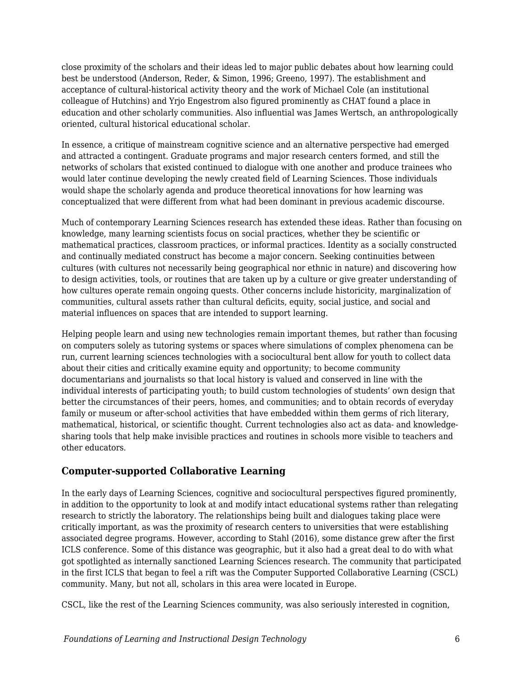close proximity of the scholars and their ideas led to major public debates about how learning could best be understood (Anderson, Reder, & Simon, 1996; Greeno, 1997). The establishment and acceptance of cultural-historical activity theory and the work of Michael Cole (an institutional colleague of Hutchins) and Yrjo Engestrom also figured prominently as CHAT found a place in education and other scholarly communities. Also influential was James Wertsch, an anthropologically oriented, cultural historical educational scholar.

In essence, a critique of mainstream cognitive science and an alternative perspective had emerged and attracted a contingent. Graduate programs and major research centers formed, and still the networks of scholars that existed continued to dialogue with one another and produce trainees who would later continue developing the newly created field of Learning Sciences. Those individuals would shape the scholarly agenda and produce theoretical innovations for how learning was conceptualized that were different from what had been dominant in previous academic discourse.

Much of contemporary Learning Sciences research has extended these ideas. Rather than focusing on knowledge, many learning scientists focus on social practices, whether they be scientific or mathematical practices, classroom practices, or informal practices. Identity as a socially constructed and continually mediated construct has become a major concern. Seeking continuities between cultures (with cultures not necessarily being geographical nor ethnic in nature) and discovering how to design activities, tools, or routines that are taken up by a culture or give greater understanding of how cultures operate remain ongoing quests. Other concerns include historicity, marginalization of communities, cultural assets rather than cultural deficits, equity, social justice, and social and material influences on spaces that are intended to support learning.

Helping people learn and using new technologies remain important themes, but rather than focusing on computers solely as tutoring systems or spaces where simulations of complex phenomena can be run, current learning sciences technologies with a sociocultural bent allow for youth to collect data about their cities and critically examine equity and opportunity; to become community documentarians and journalists so that local history is valued and conserved in line with the individual interests of participating youth; to build custom technologies of students' own design that better the circumstances of their peers, homes, and communities; and to obtain records of everyday family or museum or after-school activities that have embedded within them germs of rich literary, mathematical, historical, or scientific thought. Current technologies also act as data- and knowledgesharing tools that help make invisible practices and routines in schools more visible to teachers and other educators.

## **Computer-supported Collaborative Learning**

In the early days of Learning Sciences, cognitive and sociocultural perspectives figured prominently, in addition to the opportunity to look at and modify intact educational systems rather than relegating research to strictly the laboratory. The relationships being built and dialogues taking place were critically important, as was the proximity of research centers to universities that were establishing associated degree programs. However, according to Stahl (2016), some distance grew after the first ICLS conference. Some of this distance was geographic, but it also had a great deal to do with what got spotlighted as internally sanctioned Learning Sciences research. The community that participated in the first ICLS that began to feel a rift was the Computer Supported Collaborative Learning (CSCL) community. Many, but not all, scholars in this area were located in Europe.

CSCL, like the rest of the Learning Sciences community, was also seriously interested in cognition,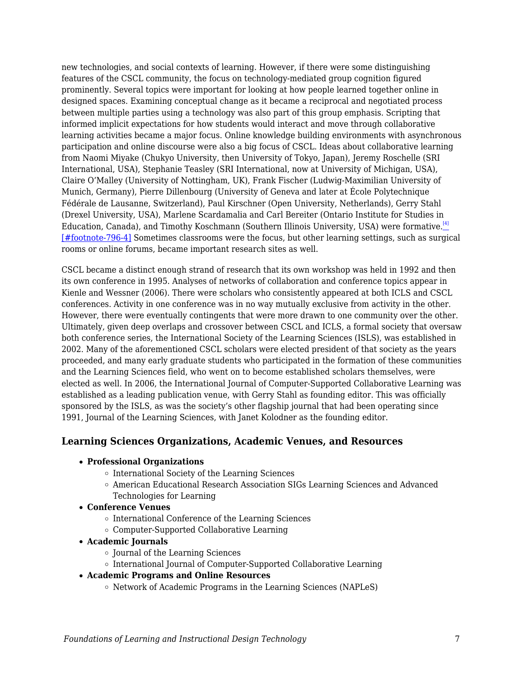new technologies, and social contexts of learning. However, if there were some distinguishing features of the CSCL community, the focus on technology-mediated group cognition figured prominently. Several topics were important for looking at how people learned together online in designed spaces. Examining conceptual change as it became a reciprocal and negotiated process between multiple parties using a technology was also part of this group emphasis. Scripting that informed implicit expectations for how students would interact and move through collaborative learning activities became a major focus. Online knowledge building environments with asynchronous participation and online discourse were also a big focus of CSCL. Ideas about collaborative learning from Naomi Miyake (Chukyo University, then University of Tokyo, Japan), Jeremy Roschelle (SRI International, USA), Stephanie Teasley (SRI International, now at University of Michigan, USA), Claire O'Malley (University of Nottingham, UK), Frank Fischer (Ludwig-Maximilian University of Munich, Germany), Pierre Dillenbourg (University of Geneva and later at École Polytechnique Fédérale de Lausanne, Switzerland), Paul Kirschner (Open University, Netherlands), Gerry Stahl (Drexel University, USA), Marlene Scardamalia and Carl Bereiter (Ontario Institute for Studies in Education, Canada), and Timothy Koschmann (Southern Illinois University, USA) were formative.<sup>[\[4\]](#page--1-0)</sup> [\[#footnote-796-4\]](#page--1-0) Sometimes classrooms were the focus, but other learning settings, such as surgical rooms or online forums, became important research sites as well.

CSCL became a distinct enough strand of research that its own workshop was held in 1992 and then its own conference in 1995. Analyses of networks of collaboration and conference topics appear in Kienle and Wessner (2006). There were scholars who consistently appeared at both ICLS and CSCL conferences. Activity in one conference was in no way mutually exclusive from activity in the other. However, there were eventually contingents that were more drawn to one community over the other. Ultimately, given deep overlaps and crossover between CSCL and ICLS, a formal society that oversaw both conference series, the International Society of the Learning Sciences (ISLS), was established in 2002. Many of the aforementioned CSCL scholars were elected president of that society as the years proceeded, and many early graduate students who participated in the formation of these communities and the Learning Sciences field, who went on to become established scholars themselves, were elected as well. In 2006, the International Journal of Computer-Supported Collaborative Learning was established as a leading publication venue, with Gerry Stahl as founding editor. This was officially sponsored by the ISLS, as was the society's other flagship journal that had been operating since 1991, Journal of the Learning Sciences, with Janet Kolodner as the founding editor.

### **Learning Sciences Organizations, Academic Venues, and Resources**

#### **Professional Organizations**

- o International Society of the Learning Sciences
- American Educational Research Association SIGs Learning Sciences and Advanced Technologies for Learning
- **Conference Venues**
	- o International Conference of the Learning Sciences
	- Computer-Supported Collaborative Learning
- **Academic Journals**
	- Journal of the Learning Sciences
	- o International Journal of Computer-Supported Collaborative Learning

#### **Academic Programs and Online Resources**

 $\circ$  Network of Academic Programs in the Learning Sciences (NAPLeS)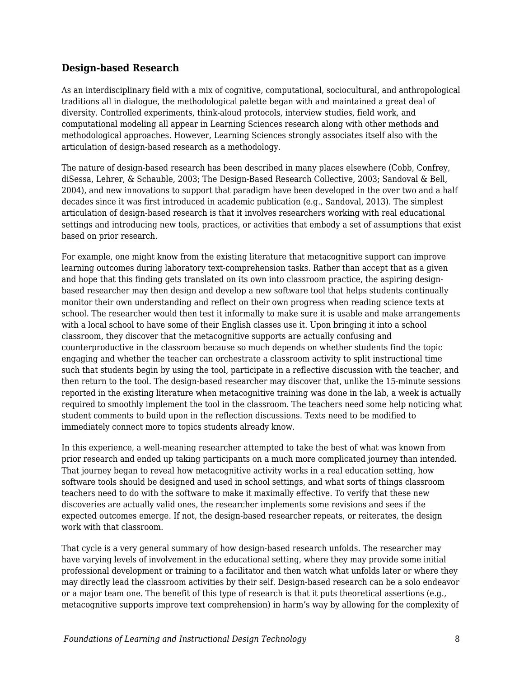## **Design-based Research**

As an interdisciplinary field with a mix of cognitive, computational, sociocultural, and anthropological traditions all in dialogue, the methodological palette began with and maintained a great deal of diversity. Controlled experiments, think-aloud protocols, interview studies, field work, and computational modeling all appear in Learning Sciences research along with other methods and methodological approaches. However, Learning Sciences strongly associates itself also with the articulation of design-based research as a methodology.

The nature of design-based research has been described in many places elsewhere (Cobb, Confrey, diSessa, Lehrer, & Schauble, 2003; The Design-Based Research Collective, 2003; Sandoval & Bell, 2004), and new innovations to support that paradigm have been developed in the over two and a half decades since it was first introduced in academic publication (e.g., Sandoval, 2013). The simplest articulation of design-based research is that it involves researchers working with real educational settings and introducing new tools, practices, or activities that embody a set of assumptions that exist based on prior research.

For example, one might know from the existing literature that metacognitive support can improve learning outcomes during laboratory text-comprehension tasks. Rather than accept that as a given and hope that this finding gets translated on its own into classroom practice, the aspiring designbased researcher may then design and develop a new software tool that helps students continually monitor their own understanding and reflect on their own progress when reading science texts at school. The researcher would then test it informally to make sure it is usable and make arrangements with a local school to have some of their English classes use it. Upon bringing it into a school classroom, they discover that the metacognitive supports are actually confusing and counterproductive in the classroom because so much depends on whether students find the topic engaging and whether the teacher can orchestrate a classroom activity to split instructional time such that students begin by using the tool, participate in a reflective discussion with the teacher, and then return to the tool. The design-based researcher may discover that, unlike the 15-minute sessions reported in the existing literature when metacognitive training was done in the lab, a week is actually required to smoothly implement the tool in the classroom. The teachers need some help noticing what student comments to build upon in the reflection discussions. Texts need to be modified to immediately connect more to topics students already know.

In this experience, a well-meaning researcher attempted to take the best of what was known from prior research and ended up taking participants on a much more complicated journey than intended. That journey began to reveal how metacognitive activity works in a real education setting, how software tools should be designed and used in school settings, and what sorts of things classroom teachers need to do with the software to make it maximally effective. To verify that these new discoveries are actually valid ones, the researcher implements some revisions and sees if the expected outcomes emerge. If not, the design-based researcher repeats, or reiterates, the design work with that classroom.

That cycle is a very general summary of how design-based research unfolds. The researcher may have varying levels of involvement in the educational setting, where they may provide some initial professional development or training to a facilitator and then watch what unfolds later or where they may directly lead the classroom activities by their self. Design-based research can be a solo endeavor or a major team one. The benefit of this type of research is that it puts theoretical assertions (e.g., metacognitive supports improve text comprehension) in harm's way by allowing for the complexity of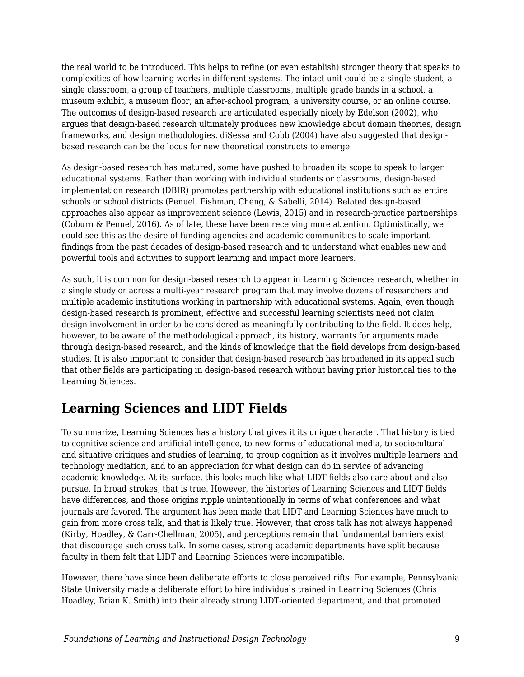the real world to be introduced. This helps to refine (or even establish) stronger theory that speaks to complexities of how learning works in different systems. The intact unit could be a single student, a single classroom, a group of teachers, multiple classrooms, multiple grade bands in a school, a museum exhibit, a museum floor, an after-school program, a university course, or an online course. The outcomes of design-based research are articulated especially nicely by Edelson (2002), who argues that design-based research ultimately produces new knowledge about domain theories, design frameworks, and design methodologies. diSessa and Cobb (2004) have also suggested that designbased research can be the locus for new theoretical constructs to emerge.

As design-based research has matured, some have pushed to broaden its scope to speak to larger educational systems. Rather than working with individual students or classrooms, design-based implementation research (DBIR) promotes partnership with educational institutions such as entire schools or school districts (Penuel, Fishman, Cheng, & Sabelli, 2014). Related design-based approaches also appear as improvement science (Lewis, 2015) and in research-practice partnerships (Coburn & Penuel, 2016). As of late, these have been receiving more attention. Optimistically, we could see this as the desire of funding agencies and academic communities to scale important findings from the past decades of design-based research and to understand what enables new and powerful tools and activities to support learning and impact more learners.

As such, it is common for design-based research to appear in Learning Sciences research, whether in a single study or across a multi-year research program that may involve dozens of researchers and multiple academic institutions working in partnership with educational systems. Again, even though design-based research is prominent, effective and successful learning scientists need not claim design involvement in order to be considered as meaningfully contributing to the field. It does help, however, to be aware of the methodological approach, its history, warrants for arguments made through design-based research, and the kinds of knowledge that the field develops from design-based studies. It is also important to consider that design-based research has broadened in its appeal such that other fields are participating in design-based research without having prior historical ties to the Learning Sciences.

## **Learning Sciences and LIDT Fields**

To summarize, Learning Sciences has a history that gives it its unique character. That history is tied to cognitive science and artificial intelligence, to new forms of educational media, to sociocultural and situative critiques and studies of learning, to group cognition as it involves multiple learners and technology mediation, and to an appreciation for what design can do in service of advancing academic knowledge. At its surface, this looks much like what LIDT fields also care about and also pursue. In broad strokes, that is true. However, the histories of Learning Sciences and LIDT fields have differences, and those origins ripple unintentionally in terms of what conferences and what journals are favored. The argument has been made that LIDT and Learning Sciences have much to gain from more cross talk, and that is likely true. However, that cross talk has not always happened (Kirby, Hoadley, & Carr-Chellman, 2005), and perceptions remain that fundamental barriers exist that discourage such cross talk. In some cases, strong academic departments have split because faculty in them felt that LIDT and Learning Sciences were incompatible.

However, there have since been deliberate efforts to close perceived rifts. For example, Pennsylvania State University made a deliberate effort to hire individuals trained in Learning Sciences (Chris Hoadley, Brian K. Smith) into their already strong LIDT-oriented department, and that promoted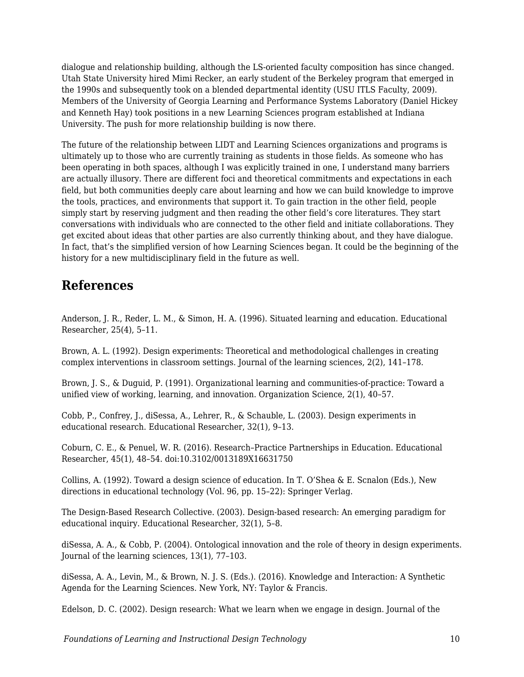dialogue and relationship building, although the LS-oriented faculty composition has since changed. Utah State University hired Mimi Recker, an early student of the Berkeley program that emerged in the 1990s and subsequently took on a blended departmental identity (USU ITLS Faculty, 2009). Members of the University of Georgia Learning and Performance Systems Laboratory (Daniel Hickey and Kenneth Hay) took positions in a new Learning Sciences program established at Indiana University. The push for more relationship building is now there.

The future of the relationship between LIDT and Learning Sciences organizations and programs is ultimately up to those who are currently training as students in those fields. As someone who has been operating in both spaces, although I was explicitly trained in one, I understand many barriers are actually illusory. There are different foci and theoretical commitments and expectations in each field, but both communities deeply care about learning and how we can build knowledge to improve the tools, practices, and environments that support it. To gain traction in the other field, people simply start by reserving judgment and then reading the other field's core literatures. They start conversations with individuals who are connected to the other field and initiate collaborations. They get excited about ideas that other parties are also currently thinking about, and they have dialogue. In fact, that's the simplified version of how Learning Sciences began. It could be the beginning of the history for a new multidisciplinary field in the future as well.

## **References**

Anderson, J. R., Reder, L. M., & Simon, H. A. (1996). Situated learning and education. Educational Researcher, 25(4), 5–11.

Brown, A. L. (1992). Design experiments: Theoretical and methodological challenges in creating complex interventions in classroom settings. Journal of the learning sciences, 2(2), 141–178.

Brown, J. S., & Duguid, P. (1991). Organizational learning and communities-of-practice: Toward a unified view of working, learning, and innovation. Organization Science, 2(1), 40–57.

Cobb, P., Confrey, J., diSessa, A., Lehrer, R., & Schauble, L. (2003). Design experiments in educational research. Educational Researcher, 32(1), 9–13.

Coburn, C. E., & Penuel, W. R. (2016). Research–Practice Partnerships in Education. Educational Researcher, 45(1), 48–54. doi:10.3102/0013189X16631750

Collins, A. (1992). Toward a design science of education. In T. O'Shea & E. Scnalon (Eds.), New directions in educational technology (Vol. 96, pp. 15–22): Springer Verlag.

The Design-Based Research Collective. (2003). Design-based research: An emerging paradigm for educational inquiry. Educational Researcher, 32(1), 5–8.

diSessa, A. A., & Cobb, P. (2004). Ontological innovation and the role of theory in design experiments. Journal of the learning sciences, 13(1), 77–103.

diSessa, A. A., Levin, M., & Brown, N. J. S. (Eds.). (2016). Knowledge and Interaction: A Synthetic Agenda for the Learning Sciences. New York, NY: Taylor & Francis.

Edelson, D. C. (2002). Design research: What we learn when we engage in design. Journal of the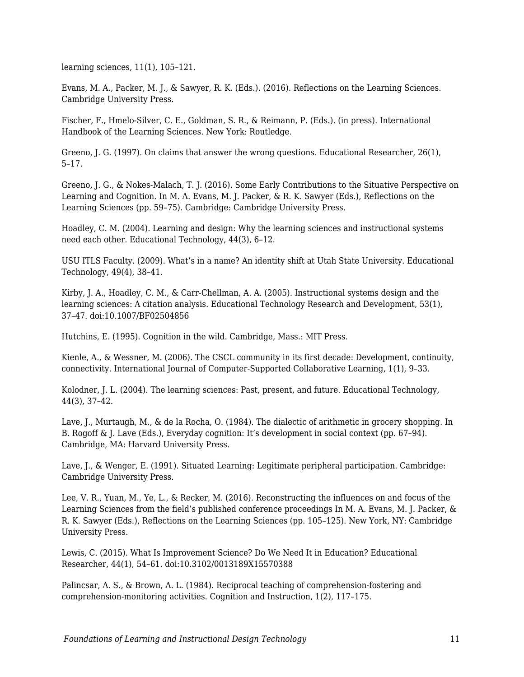learning sciences, 11(1), 105–121.

Evans, M. A., Packer, M. J., & Sawyer, R. K. (Eds.). (2016). Reflections on the Learning Sciences. Cambridge University Press.

Fischer, F., Hmelo-Silver, C. E., Goldman, S. R., & Reimann, P. (Eds.). (in press). International Handbook of the Learning Sciences. New York: Routledge.

Greeno, J. G. (1997). On claims that answer the wrong questions. Educational Researcher, 26(1), 5–17.

Greeno, J. G., & Nokes-Malach, T. J. (2016). Some Early Contributions to the Situative Perspective on Learning and Cognition. In M. A. Evans, M. J. Packer, & R. K. Sawyer (Eds.), Reflections on the Learning Sciences (pp. 59–75). Cambridge: Cambridge University Press.

Hoadley, C. M. (2004). Learning and design: Why the learning sciences and instructional systems need each other. Educational Technology, 44(3), 6–12.

USU ITLS Faculty. (2009). What's in a name? An identity shift at Utah State University. Educational Technology, 49(4), 38–41.

Kirby, J. A., Hoadley, C. M., & Carr-Chellman, A. A. (2005). Instructional systems design and the learning sciences: A citation analysis. Educational Technology Research and Development, 53(1), 37–47. doi:10.1007/BF02504856

Hutchins, E. (1995). Cognition in the wild. Cambridge, Mass.: MIT Press.

Kienle, A., & Wessner, M. (2006). The CSCL community in its first decade: Development, continuity, connectivity. International Journal of Computer-Supported Collaborative Learning, 1(1), 9–33.

Kolodner, J. L. (2004). The learning sciences: Past, present, and future. Educational Technology, 44(3), 37–42.

Lave, J., Murtaugh, M., & de la Rocha, O. (1984). The dialectic of arithmetic in grocery shopping. In B. Rogoff & J. Lave (Eds.), Everyday cognition: It's development in social context (pp. 67–94). Cambridge, MA: Harvard University Press.

Lave, J., & Wenger, E. (1991). Situated Learning: Legitimate peripheral participation. Cambridge: Cambridge University Press.

Lee, V. R., Yuan, M., Ye, L., & Recker, M. (2016). Reconstructing the influences on and focus of the Learning Sciences from the field's published conference proceedings In M. A. Evans, M. J. Packer, & R. K. Sawyer (Eds.), Reflections on the Learning Sciences (pp. 105–125). New York, NY: Cambridge University Press.

Lewis, C. (2015). What Is Improvement Science? Do We Need It in Education? Educational Researcher, 44(1), 54–61. doi:10.3102/0013189X15570388

Palincsar, A. S., & Brown, A. L. (1984). Reciprocal teaching of comprehension-fostering and comprehension-monitoring activities. Cognition and Instruction, 1(2), 117–175.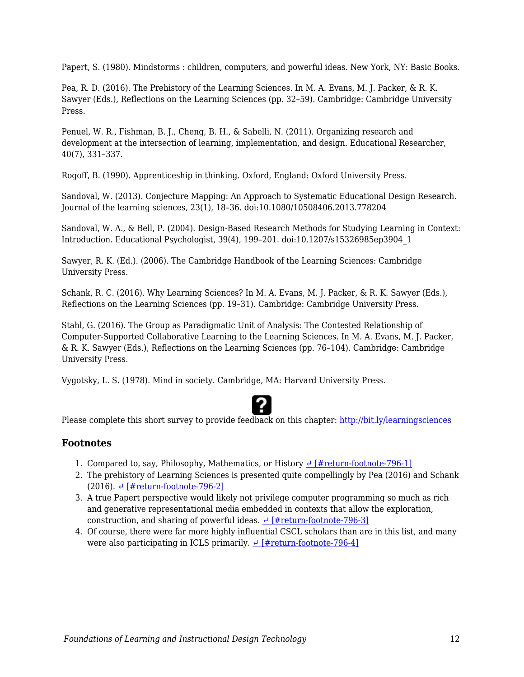Papert, S. (1980). Mindstorms : children, computers, and powerful ideas. New York, NY: Basic Books.

Pea, R. D. (2016). The Prehistory of the Learning Sciences. In M. A. Evans, M. J. Packer, & R. K. Sawyer (Eds.), Reflections on the Learning Sciences (pp. 32–59). Cambridge: Cambridge University Press.

Penuel, W. R., Fishman, B. J., Cheng, B. H., & Sabelli, N. (2011). Organizing research and development at the intersection of learning, implementation, and design. Educational Researcher, 40(7), 331–337.

Rogoff, B. (1990). Apprenticeship in thinking. Oxford, England: Oxford University Press.

Sandoval, W. (2013). Conjecture Mapping: An Approach to Systematic Educational Design Research. Journal of the learning sciences, 23(1), 18–36. doi:10.1080/10508406.2013.778204

Sandoval, W. A., & Bell, P. (2004). Design-Based Research Methods for Studying Learning in Context: Introduction. Educational Psychologist, 39(4), 199–201. doi:10.1207/s15326985ep3904\_1

Sawyer, R. K. (Ed.). (2006). The Cambridge Handbook of the Learning Sciences: Cambridge University Press.

Schank, R. C. (2016). Why Learning Sciences? In M. A. Evans, M. J. Packer, & R. K. Sawyer (Eds.), Reflections on the Learning Sciences (pp. 19–31). Cambridge: Cambridge University Press.

Stahl, G. (2016). The Group as Paradigmatic Unit of Analysis: The Contested Relationship of Computer-Supported Collaborative Learning to the Learning Sciences. In M. A. Evans, M. J. Packer, & R. K. Sawyer (Eds.), Reflections on the Learning Sciences (pp. 76–104). Cambridge: Cambridge University Press.

Vygotsky, L. S. (1978). Mind in society. Cambridge, MA: Harvard University Press.



Please complete this short survey to provide feedback on this chapter: <http://bit.ly/learningsciences>

### **Footnotes**

- 1. Compared to, say, Philosophy, Mathematics, or History  $\frac{1}{4}$  [#return-footnote-796-1]
- 2. The prehistory of Learning Sciences is presented quite compellingly by Pea (2016) and Schank (2016).  $\leftarrow$  [#return-footnote-796-2]
- 3. A true Papert perspective would likely not privilege computer programming so much as rich and generative representational media embedded in contexts that allow the exploration, construction, and sharing of powerful ideas.  $\frac{4}{\pi}$  [#return-footnote-796-3]
- 4. Of course, there were far more highly influential CSCL scholars than are in this list, and many were also participating in ICLS primarily.  $\frac{1}{x}$  [#return-footnote-796-4]